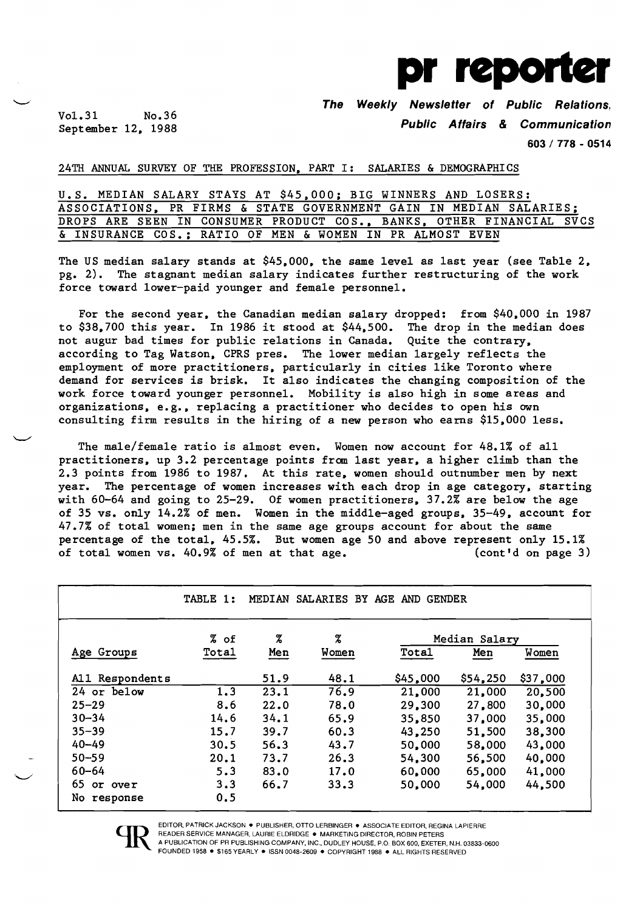

Vo1.31 No.36<br>September 12, 1988

The Weekly Newsletter of Public Relations,

Public Affairs & Communication

603/778 - 0514

# 24TH ANNUAL SURVEY OF THE PROFESSION. PART I: SALARIES & DEMOGRAPHICS

U.S. MEDIAN SALARY STAYS AT \$45.000; BIG WINNERS AND LOSERS: ASSOCIATIONS. PR FIRMS & STATE GOVERNMENT GAIN IN MEDIAN SALARIES; DROPS ARE SEEN IN CONSUMER PRODUCT COS., BANKS, OTHER FINANCIAL SVCS & INSURANCE COS.; RATIO OF MEN & WOMEN IN PR ALMOST EVEN

The US median salary stands at \$45.000. the same level as last year (see Table 2. pg. 2). The stagnant median salary indicates further restructuring of the work force toward lower-paid younger and female personnel.

For the second year. the Canadian median salary dropped: from \$40.000 in 1987 to \$38.700 this year. In 1986 it stood at \$44.500. The drop in the median does not augur bad times for public relations in Canada. Quite the contrary. according to Tag Watson. CPRS pres. The lower median largely reflects the employment of more practitioners. particularly in cities like Toronto where demand for services is brisk. It also indicates the changing composition of the work force toward younger personnel. Mobility is also high in some areas and organizations. e.g•• replacing a practitioner who decides to open his own consulting firm results in the hiring of a new person who earns \$15.000 less.

The male/female ratio is almost even. Women now account for 48.1% of all practitioners. up 3.2 percentage points from last year. a higher climb than the 2.3 points from 1986 to 1987. At this rate, women should outnumber men by next year. The percentage of women increases with each drop in age category, starting with 60-64 and going to 25-29. Of women practitioners. 37.2% are below the age of 35 vs. only 14.2% of men. Women in the middle-aged groups. 35-49. account for 47.7% of total women; men in the same age groups account for about the same percentage of the total. 45.5%. But women age 50 and above represent only 15.1% of total women vs. 40.9% of men at that age. (cont'd on page 3)

|                 | TABLE 1:     | MEDIAN | SALARIES BY AGE AND GENDER |          |               |          |
|-----------------|--------------|--------|----------------------------|----------|---------------|----------|
|                 | $%$ of       | %      | %                          |          | Median Salary |          |
| Age Groups      | <b>Total</b> | Men    | Women                      | Tota1    | Men           | Women    |
| All Respondents |              | 51.9   | 48.1                       | \$45,000 | \$54,250      | \$37,000 |
| 24 or below     | 1.3          | 23.1   | 76.9                       | 21,000   | 21,000        | 20,500   |
| $25 - 29$       | 8.6          | 22.0   | 78.0                       | 29,300   | 27,800        | 30,000   |
| $30 - 34$       | 14.6         | 34.1   | 65.9                       | 35,850   | 37,000        | 35,000   |
| $35 - 39$       | 15.7         | 39.7   | 60.3                       | 43,250   | 51,500        | 38,300   |
| $40 - 49$       | 30.5         | 56.3   | 43.7                       | 50,000   | 58,000        | 43,000   |
| $50 - 59$       | 20.1         | 73.7   | 26.3                       | 54,300   | 56,500        | 40,000   |
| $60 - 64$       | 5.3          | 83.0   | 17.0                       | 60,000   | 65,000        | 41,000   |
| 65.<br>or over  | 3.3          | 66.7   | 33.3                       | 50,000   | 54,000        | 44,500   |
| No response     | 0.5          |        |                            |          |               |          |



 $\smile$ 

EDITOR, PATRICK JACKSON · PUBLISHER, OTTO LERBINGER · ASSOCIATE EDITOR, REGINA LAPIERRE

READER SERVICE MANAGER, LAURIE ELDRIDGE . MARKETING DIRECTOR, ROBIN PETERS A PUBLICATION OF PR PUBLISHING COMPANY, INC., DUDLEY HOUSE, P.O. BOX 600, EXETER, N.H. 03833-0600 FOUNDED 1958 · \$165 YEARLY · ISSN 0048-2609 · COPYRIGHT 1988 · ALL RIGHTS RESERVED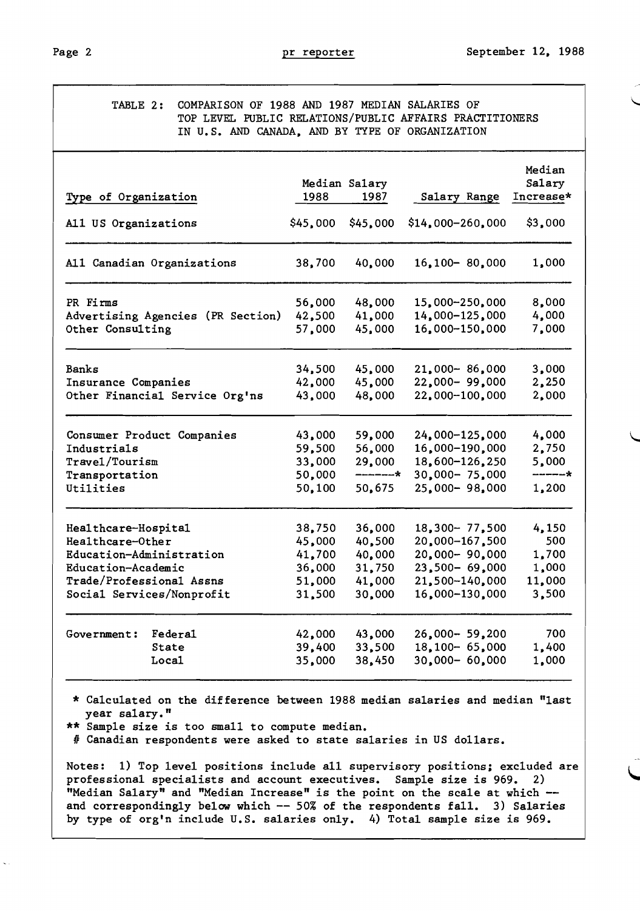| TABLE 2:<br>COMPARISON OF 1988 AND 1987 MEDIAN SALARIES OF<br>IN U.S. AND CANADA, AND BY TYPE OF ORGANIZATION                                      |                                                          |                                                          | TOP LEVEL PUBLIC RELATIONS/PUBLIC AFFAIRS PRACTITIONERS                                                       |                                                   |
|----------------------------------------------------------------------------------------------------------------------------------------------------|----------------------------------------------------------|----------------------------------------------------------|---------------------------------------------------------------------------------------------------------------|---------------------------------------------------|
| Type of Organization                                                                                                                               | 1988                                                     | Median Salary<br>1987                                    | Salary Range                                                                                                  | Median<br>Salary<br>Increase*                     |
| All US Organizations                                                                                                                               | \$45,000                                                 | \$45,000                                                 | $$14,000-260,000$                                                                                             | \$3,000                                           |
| All Canadian Organizations                                                                                                                         | 38,700                                                   | 40,000                                                   | $16,100 - 80,000$                                                                                             | 1,000                                             |
| PR Firms<br>Advertising Agencies (PR Section)<br>Other Consulting                                                                                  | 56,000<br>42,500<br>57,000                               | 48,000<br>41,000<br>45,000                               | 15,000-250,000<br>14,000-125,000<br>16,000-150,000                                                            | 8,000<br>4,000<br>7,000                           |
| Banks<br>Insurance Companies<br>Other Financial Service Org'ns                                                                                     | 34,500<br>42,000<br>43,000                               | 45,000<br>45,000<br>48,000                               | $21,000 - 86,000$<br>22,000-99,000<br>22,000-100,000                                                          | 3,000<br>2,250<br>2,000                           |
| Consumer Product Companies<br>Industrials<br>Travel/Tourism<br>Transportation<br>Utilities                                                         | 43,000<br>59,500<br>33,000<br>50,000<br>50,100           | 59,000<br>56,000<br>29,000<br>-------*<br>50,675         | 24,000-125,000<br>16,000-190,000<br>18,600-126,250<br>$30,000 - 75,000$<br>25,000-98,000                      | 4,000<br>2,750<br>5,000<br>------*<br>1,200       |
| Healthcare-Hospital<br>Healthcare-Other<br>Education-Administration<br>Education-Academic<br>Trade/Professional Assns<br>Social Services/Nonprofit | 38,750<br>45,000<br>41,700<br>36,000<br>51,000<br>31,500 | 36,000<br>40,500<br>40,000<br>31,750<br>41,000<br>30,000 | $18,300 - 77,500$<br>20,000-167,500<br>20,000-90,000<br>$23,500 - 69,000$<br>21,500-140,000<br>16,000-130,000 | 4,150<br>500<br>1,700<br>1,000<br>11,000<br>3,500 |
| Government:<br>Federa1<br>State<br>Loca1                                                                                                           | 42,000<br>39,400<br>35,000                               | 43,000<br>33,500<br>38,450                               | $26,000 - 59,200$<br>$18,100 - 65,000$<br>$30,000 - 60,000$                                                   | 700<br>1,400<br>1,000                             |

\* Calculated on the difference between 1988 median salaries and median "last year salary."

\*\* Sample size is too small to compute median.

*n* Canadian respondents were asked to state salaries in US dollars.

Notes: 1) Top level positions include all supervisory positions: excluded are professional specialists and account executives. Sample size is 969. 2) "Median Salary" and "Median Increase" is the point on the scale at which and correspondingly below which -- 50% of the respondents fall. 3) Salaries by type of org'n include U.S. salaries only. 4) Total sample size is 969.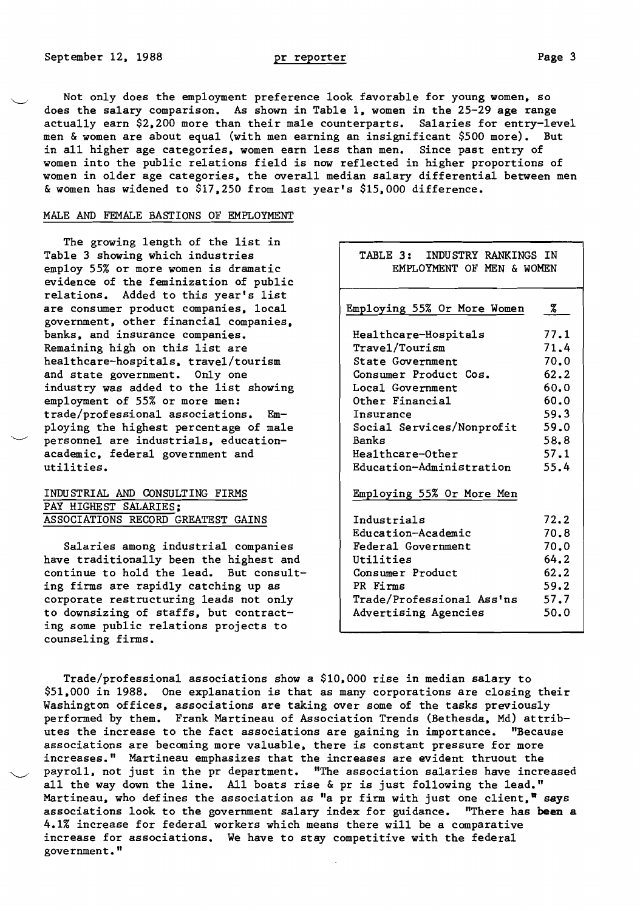Not only does the employment preference look favorable for young women. so does the salary comparison. As shown in Table 1, women in the 25-29 age range actually earn \$2.200 more than their male counterparts. Salaries for entry-level men & women are about equal (with men earning an insignificant \$500 more). in all higher age categories. women earn less than men. Since past entry of women into the public relations field is now reflected in higher proportions of women in older age categories. the overall median salary differential between men &women has widened to \$17.250 from last year's \$15.000 difference.

#### MALE AND FEMALE BASTIONS OF EMPLOYMENT

The growing length of the list in Table 3 showing which industries employ 55% or more women is dramatic evidence of the feminization of public relations. Added to this year's list are consumer product companies, local government. other financial companies. banks. and insurance companies. Remaining high on this list are hea1thcare-hospita1s. travel/tourism and state government. Only one industry was added to the list showing employment of 55% or more men: trade/professional associations. Employing the highest percentage of male personnel are industrials. educationacademic. federal government and utilities.

# INDUSTRIAL AND CONSULTING FIRMS PAY HIGHEST SALARIES: ASSOCIATIONS RECORD GREATEST GAINS

Salaries among industrial companies have traditionally been the highest and continue to hold the lead. But consulting firms are rapidly catching up as corporate restructuring leads not only to downsizing of staffs. but contracting some public relations projects to counseling firms.

| TABLE 3: INDUSTRY RANKINGS IN<br>EMPLOYMENT OF MEN & WOMEN |      |
|------------------------------------------------------------|------|
| Employing 55% Or More Women                                | Z.   |
| Healthcare-Hospitals                                       | 77.1 |
| Travel/Tourism                                             | 71.4 |
| <b>State Government</b>                                    | 70.0 |
| Consumer Product Cos.                                      | 62.2 |
| Local Government                                           | 60.0 |
| Other Financial                                            | 60.0 |
| Insurance                                                  | 59.3 |
| Social Services/Nonprofit                                  | 59.0 |
| <b>Banks</b>                                               | 58.8 |
| Healthcare-Other                                           | 57.1 |
| Education-Administration                                   | 55.4 |
| Employing 55% Or More Men                                  |      |
| Industrials                                                | 72.2 |
| Education-Academic                                         | 70.8 |
| Federal Government                                         | 70.0 |
| Utilities                                                  | 64.2 |
| Consumer Product                                           | 62.2 |
| PR Firms                                                   | 59.2 |
| Trade/Professional Ass'ns                                  | 57.7 |
| Advertising Agencies                                       | 50.0 |
|                                                            |      |

Trade/professional associations show a \$10.000 rise in median salary to \$51.000 in 1988. One explanation is that as many corporations are closing their Washington offices, associations are taking over some of the tasks previously performed by them. Frank Martineau of Association Trends (Bethesda. Md) attributes the increase to the fact associations are gaining in importance. "Because associations are becoming more valuable. there is constant pressure for more increases." Martineau emphasizes that the increases are evident thruout the payroll. not just in the pr department. "The association salaries have increased all the way down the line. All boats rise & pr is just following the lead." Martineau, who defines the association as "a pr firm with just one client," says associations look to the government salary index for guidance. "There has **been a**  4.1% increase for federal workers which means there will be a comparative increase for associations. We have to stay competitive with the federal government."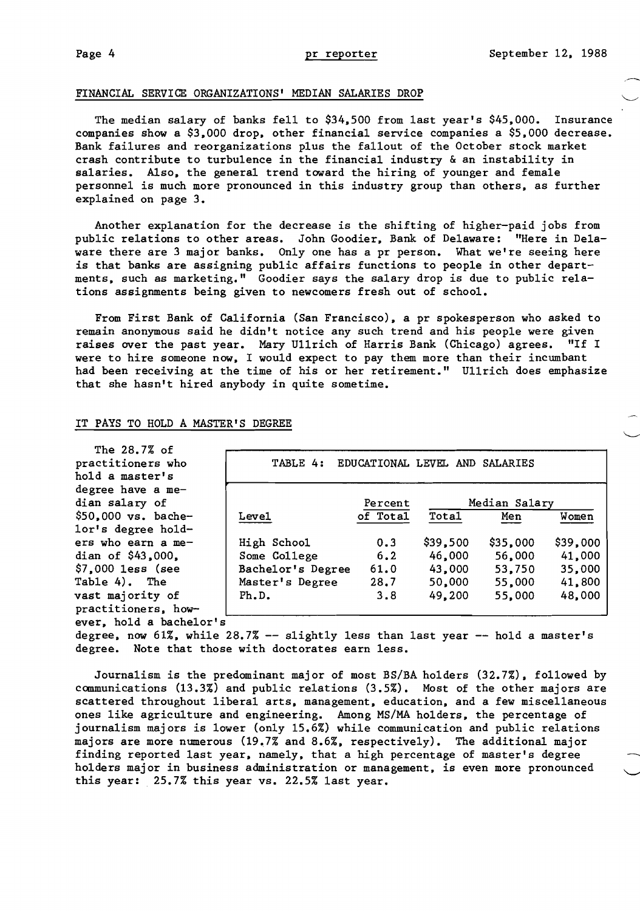### FINANCIAL SERVICE ORGANIZATIONS' MEDIAN SALARIES DROP

The median salary of banks fell to \$34.500 from last year's \$45.000. Insurance companies show a \$3.000 drop. other financial service companies a \$5.000 decrease. Bank failures and reorganizations plus the fallout of the October stock market crash contribute to turbulence in the financial industry & an instability in salaries. Also. the general trend toward the hiring of younger and female personnel is much more pronounced in this industry group than others, as further explained on page 3.

Another explanation for the decrease is the shifting of higher-paid jobs from public relations to other areas. John Goodier. Bank of Delaware: "Here in Delaware there are 3 major banks. Only one has a pr person. What we're seeing here is that banks are assigning public affairs functions to people in other departments. such as marketing." Goodier says the salary drop is due to public relations assignments being given to newcomers fresh out of school.

From First Bank of California (San Francisco). a pr spokesperson who asked to remain anonymous said he didn't notice any such trend and his people were given raises over the past year. Mary Ullrich of Harris Bank (Chicago) agrees. "If I were to hire someone now. I would expect to pay them more than their incumbant had been receiving at the time of his or her retirement." Ullrich does emphasize that she hasn't hired anybody in quite sometime.

### IT PAYS TO HOLD A MASTER'S DEGREE

| The 28.7% of                 |                   |                                |          |               |          |
|------------------------------|-------------------|--------------------------------|----------|---------------|----------|
| practitioners who            | TABLE 4:          | EDUCATIONAL LEVEL AND SALARIES |          |               |          |
| hold a master's              |                   |                                |          |               |          |
| degree have a me-            |                   |                                |          |               |          |
| dian salary of               |                   | Percent                        |          | Median Salary |          |
| $$50,000 \text{ vs.} bache-$ | Leve1             | of Total                       | Total    | Men           | Women    |
| lor's degree hold-           |                   |                                |          |               |          |
| ers who earn a me-           | High School       | 0.3                            | \$39,500 | \$35,000      | \$39,000 |
| dian of $$43,000$ .          | Some College      | 6.2                            | 46,000   | 56,000        | 41,000   |
| $$7,000$ less (see           | Bachelor's Degree | 61.0                           | 43,000   | 53,750        | 35,000   |
| Table 4). The                | Master's Degree   | 28.7                           | 50,000   | 55,000        | 41,800   |
| vast majority of             | Ph.D.             | 3.8                            | 49,200   | 55,000        | 48,000   |
| practitioners, how-          |                   |                                |          |               |          |
| ever, hold a bachelor's      |                   |                                |          |               |          |

degree, now 61%, while  $28.7% -$  slightly less than last year  $-$  hold a master's degree. Note that those with doctorates earn less.

Journalism is the predominant major of most BS/BA holders (32.7%). followed by communications (13.3%) and public relations (3.5%). Most of the other majors are scattered throughout liberal arts. management. education. and a few miscellaneous ones like agriculture and engineering. Among MS/MA holders. the percentage of journalism majors is lower (only 15.6%) while communication and public relations majors are more numerous (19.7% and 8.6%. respectively). The additional major finding reported last year. namely. that a high percentage of master's degree holders major in business administration or management, is even more pronounced this year: 25.7% this year vs. 22.5% last year.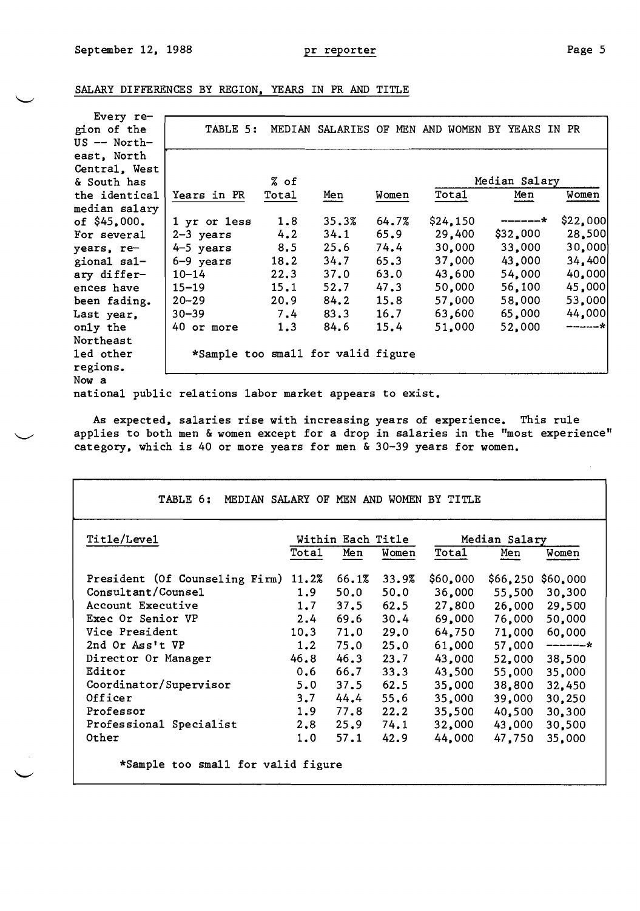Page 5

 $\bar{z}$ 

|  | SALARY DIFFERENCES BY REGION, YEARS IN PR AND TITLE |  |  |  |  |  |  |  |
|--|-----------------------------------------------------|--|--|--|--|--|--|--|
|--|-----------------------------------------------------|--|--|--|--|--|--|--|

| Every re-      |                    |                                    |                 |       |           |                   |          |
|----------------|--------------------|------------------------------------|-----------------|-------|-----------|-------------------|----------|
| gion of the    | TABLE 5:           | MEDIAN                             | SALARIES OF MEN |       | AND WOMEN | YEARS IN PR<br>BY |          |
| $US$ -- North- |                    |                                    |                 |       |           |                   |          |
| east, North    |                    |                                    |                 |       |           |                   |          |
| Central, West  |                    |                                    |                 |       |           |                   |          |
| & South has    |                    | % of                               |                 |       |           | Median Salary     |          |
| the identical  | <b>Years in PR</b> | Total                              | Men             | Women | Total     | Men               | Women    |
| median salary  |                    |                                    |                 |       |           |                   |          |
| of $$45,000.$  | 1 yr or 1ess       | 1.8                                | 35.3%           | 64.7% | \$24,150  | -------*          | \$22,000 |
| For several    | $2-3$ years        | 4.2                                | 34.1            | 65.9  | 29,400    | \$32,000          | 28,500   |
| years, re-     | $4-5$ years        | 8.5                                | 25.6            | 74.4  | 30,000    | 33,000            | 30,000   |
| gional sal-    | 6-9 years          | 18.2                               | 34.7            | 65.3  | 37,000    | 43,000            | 34,400   |
| ary differ-    | $10 - 14$          | 22.3                               | 37.0            | 63.0  | 43,600    | 54,000            | 40,000   |
| ences have     | $15 - 19$          | 15.1                               | 52.7            | 47.3  | 50,000    | 56,100            | 45,000   |
| been fading.   | $20 - 29$          | 20.9                               | 84.2            | 15.8  | 57,000    | 58,000            | 53,000   |
| Last year,     | $30 - 39$          | 7.4                                | 83.3            | 16.7  | 63,600    | 65,000            | 44,000   |
| only the       | 40 or more         | 1.3                                | 84.6            | 15.4  | 51,000    | 52,000            | -------* |
| Northeast      |                    |                                    |                 |       |           |                   |          |
| led other      |                    | *Sample too small for valid figure |                 |       |           |                   |          |
| regions.       |                    |                                    |                 |       |           |                   |          |
| Now a          |                    |                                    |                 |       |           |                   |          |

national public relations labor market appears to exist.

As expected, salaries rise with increasing years of experience. This rule applies to both men & women except for a drop in salaries in the "most experience" category, which is 40 or more years for men & 30-39 years for women.

| Title/Leve1                    |                  | Within Each Title |       |          | Median Salary |               |
|--------------------------------|------------------|-------------------|-------|----------|---------------|---------------|
|                                | <b>Total</b>     | Men               | Women | Total    | Men           | Women         |
| President (Of Counseling Firm) | 11.2%            | 66.1%             | 33.9% | \$60,000 | \$66, 250     | \$60,000      |
| Consultant/Counsel             | 1.9 <sub>1</sub> | 50.0              | 50.0  | 36,000   | 55,500        | 30,300        |
| Account Executive              | 1.7              | 37.5              | 62.5  | 27,800   | 26,000        | 29,500        |
| Exec Or Senior VP              | 2.4              | 69.6              | 30.4  | 69,000   | 76,000        | 50,000        |
| Vice President                 | 10.3             | 71.0              | 29.0  | 64,750   |               | 71,000 60,000 |
| 2nd Or Ass't VP                | 1.2              | 75.0              | 25.0  | 61,000   | 57,000        | -------*      |
| Director Or Manager            | 46.8             | 46.3              | 23.7  | 43,000   | 52,000        | 38,500        |
| Editor                         | 0,6              | 66.7              | 33.3  | 43,500   | 55,000        | 35,000        |
| Coordinator/Supervisor         | 5.0              | 37.5              | 62.5  | 35,000   | 38,800        | 32,450        |
| Officer                        | 3.7              | 44.4              | 55.6  | 35,000   | 39,000        | 30,250        |
| Professor                      | 1.9              | 77.8              | 22.2  | 35,500   | 40,500        | 30,300        |
| Professional Specialist        | 2.8              | $25.9$ $74.1$     |       | 32,000   | 43,000        | 30,500        |
| Other                          | 1.0              | 57.1              | 42.9  | 44,000   | 47,750        | 35,000        |